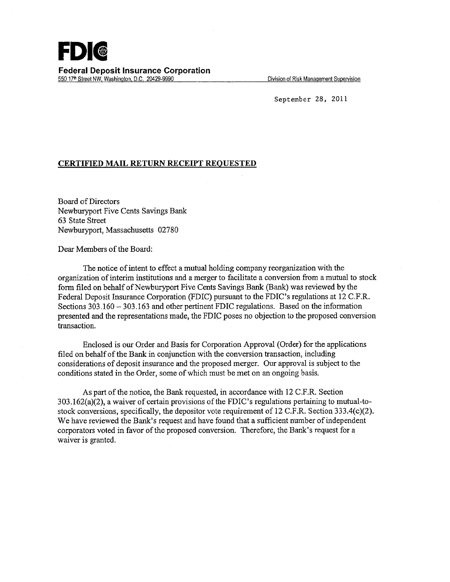

Division of Risk Management Supervision

September 28, 2011

#### **CERTIFIED MAIL RETURN RECEIPT REQUESTED**

Board of Directors Newburyport Five Cents Savings Bank 63 State Street Newburyport, Massachusetts 02780

Dear Members of the Board:

The notice of intent to effect a mutual holding company reorganization with the organization of interim institutions and a merger to facilitate a conversion from a mutual to stock form filed on behalf of Newburyport Five Cents Savings Bank (Bank) was reviewed by the Federal Deposit Insurance Corporation (FDIC) pursuant to the FDIC's regulations at 12 C.F.R. Sections 303.160-303.163 and other pertinent FDIC regulations. Based on the information presented and the representations made, the FDIC poses no objection to the proposed conversion transaction.

Enclosed is our Order and Basis for Corporation Approval (Order) for the applications filed on behalf of the Bank in conjunction with the conversion transaction, including considerations of deposit insurance and the proposed merger. Our approval is subject to the conditions stated in the Order, some of which must be met on an ongoing basis.

As part of the notice, the Bank requested, in accordance with 12 C.F.R. Section 303.162(a)(2), a waiver of certain provisions of the FDIC's regulations pertaining to mutual-tostock conversions, specifically, the depositor vote requirement of 12 C.F.R. Section 333.4(c)(2). We have reviewed the Bank's request and have found that a sufficient number of independent corporators voted in favor of the proposed conversion. Therefore, the Bank's request for a waiver is granted.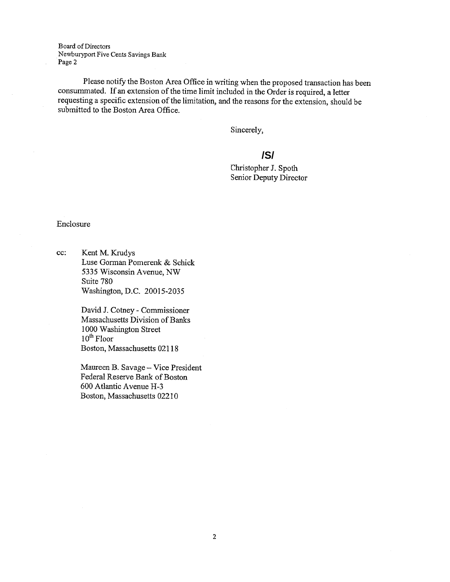Board of Directors Newburyport Five Cents Savings Bank Page 2

Please notify the Boston Area Office in writing when the proposed transaction has been consummated. If an extension of the time limit included in the Order is required, a letter requesting a specific extension of the limitation, and the reasons for the extension, should be submitted to the Boston Area Office.

Sincerely,

# **/S/**

hristopher J. Spoth Senior Deputy Director

#### Enclosure

cc: Kent M. Krudys Luse Gorman Pomerenk & Schick *5335* Wisconsin Avenue, NW Suite 780 Washington, D.C. 20015-2035

> David J. Cotney - Commissioner Massachusetts Division of Banks 1000 Washington Street  $10<sup>th</sup>$  Floor Boston, Massachusetts 02118

Maureen B. Savage - Vice President Federal Reserve Bank of Boston 600 Atlantic Avenue H-3 Boston, Massachusetts 02210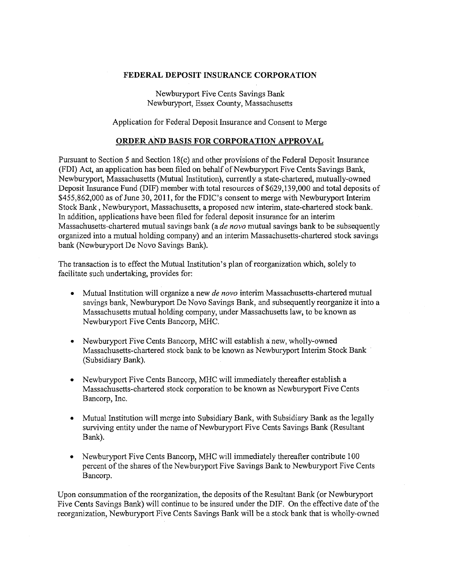### **FEDERAL DEPOSIT** INSURANCE **CORPORATION**

Newburyport Five Cents Savings Bank Newburyport, Essex County, Massachusetts

Application for Federal Deposit Insurance and Consent to Merge

### **ORDER AND** BASIS **FOR CORPORATION APPROVAL**

Pursuant to Section 5 and Section 18(c) and other provisions of the Federal Deposit Insurance (FDI) Act, an application has been filed on behalf of Newburyport Five Cents Savings Bank, Newburyport, Massachusetts (Mutual Institution), currently a state-chartered, mutually-owned Deposit Insurance Fund (DIF) member with total resources of \$629,139,000 and total deposits of \$455,862,000 as of June 30, 2011, for the FDIC's consent to merge with Newburyport Interim Stock Bank, Newburyport, Massachusetts, a proposed new interim, state-chartered stock bank. In addition, applications have been filed for federal deposit insurance for an interim Massachusetts-chartered mutual savings bank (a *de novo* mutual savings bank to be subsequently organized into a mutual holding company) and an interim Massachusetts-chartered stock savings bank (Newburyport De Novo Savings Bank).

The transaction is to effect the Mutual Institution's plan of reorganization which, solely to facilitate such undertaking, provides for:

- Mutual Institution will organize a new *de novo* interim Massachusetts-chartered mutual savings bank, Newburyport De Novo Savings Bank, and subsequently reorganize it into a Massachusetts mutual holding company, under Massachusetts law, to be known as Newburyport Five Cents Bancorp, MHC.
- Newburyport Five Cents Bancorp, MHC will establish a new, wholly-owned Massachusetts-chartered stock bank to be known as Newburyport Interim Stock Bank · (Subsidiary Bank).
- Newburyport Five Cents Bancorp, MHC will immediately thereafter establish a Massachusetts-chartered stock corporation to be known as Newburyport Five Cents Bancorp, Inc.
- Mutual Institution will merge into Subsidiary Bank, with Subsidiary Bank as the legally surviving entity under the name of Newburyport Five Cents Savings Bank (Resultant Bank).
- Newburyport Five Cents Bancorp, MHC will immediately thereafter contribute 100 percent of the shares of the Newburyport Five Savings Bank to Newburyport Five Cents Bancorp.

Upon consummation of the reorganization, the deposits of the Resultant Bank (or Newburyport Five Cents Savings Bank) will continue to be insured under the DIP. On the effective date of the reorganization, Newburyport Five Cents Savings Bank will be a stock bank that is wholly-owned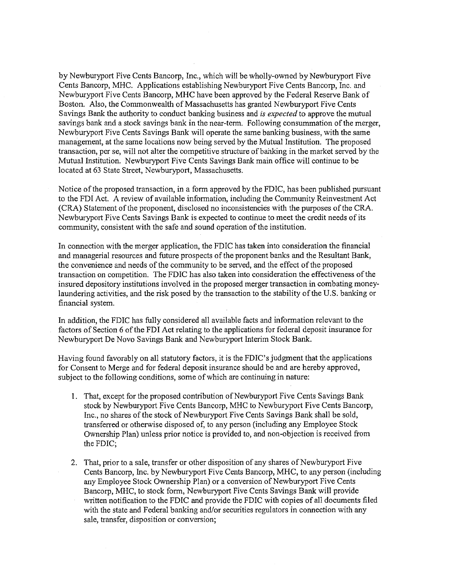by Newburyport Five Cents Bancorp, Inc., which will be wholly-owned by Newburyport Five Cents Bancorp, MHC. Applications establishing Newburyport Five Cents Bancorp, Inc. and Newburyport Five Cents Bancorp, MHC have been approved by the Federal Reserve Bank of Boston. Also, the Commonwealth of Massachusetts has granted Newburyport Five Cents Savings Bank the authority to conduct banking business and *is expected* to approve the mutual savings bank and a stock savings bank in the near-term. Following consummation of the merger, Newburyport Five Cents Savings Bank will operate the same banking business, with the same management, at the same locations now being served by the Mutual Institution. The proposed transaction, per se, will not alter the competitive structure ofbahking in the market served by the Mutual Institution. Newburyport Five Cents Savings Bank main office will continue to be located at 63 State Street, Newburyport, Massachusetts.

Notice of the proposed transaction, in a form approved by the FDIC, has been published pursuant to the FDI Act. A review of available information, including the Community Reinvestment Act (CRA) Statement of the proponent, disclosed no inconsistencies with the purposes of the CRA. Newburyport Five Cents Savings Bank is expected to continue to meet the credit needs of its community, consistent with the safe and sound operation of the institution.

In connection with the merger application, the FDIC has taken into consideration the financial and managerial resources and future prospects of the proponent banks and the Resultant Bank, the convenience and needs of the community to be served, and the effect of the proposed transaction on competition. The FDIC has also taken into consideration the effectiveness of the insured depository institutions involved in the proposed merger transaction in combating moneylaundering activities, and the risk posed by the transaction to the stability of the U.S. banking or financial system.

In addition, the FDIC has fully considered all available facts and information relevant to the factors of Section 6 of the FDI Act relating to the applications for federal deposit insurance for Newburyport De Novo Savings Bank and Newburyport Interim Stock Bank.

Having found favorably on all statutory factors, it is the FDIC's judgment that the applications for Consent to Merge and for federal deposit insurance should be and are hereby approved, subject to the following conditions, some of which are continuing in nature:

- 1. That, except for the proposed contribution of Newburyport Five Cents Savings Bank stock by Newburyport Five Cents Bancorp, MHC to Newburyport Five Cents Bancorp, Inc., no shares of the stock of Newburyport Five Cents Savings Bank shall be sold, transferred or otherwise disposed of, to any person (including any Employee Stock Ownership Plan) unless prior notice is provided to, and non-objection is received from the FDIC;
- 2. That, prior to a sale, transfer or other disposition of any shares of Newburyport Five Cents Bancorp, Inc. by Newburyport Five Cents Bancorp, MHC, to any person (including any Employee Stock Ownership Plan) or a conversion of Newburyport Five Cents Bancorp, MHC, to stock form, Newburyport Five Cents Savings Bank will provide written notification to the FDIC and provide the FDIC with copies of all documents filed with the state and Federal banking and/or securities regulators in connection with any sale, transfer, disposition or conversion;